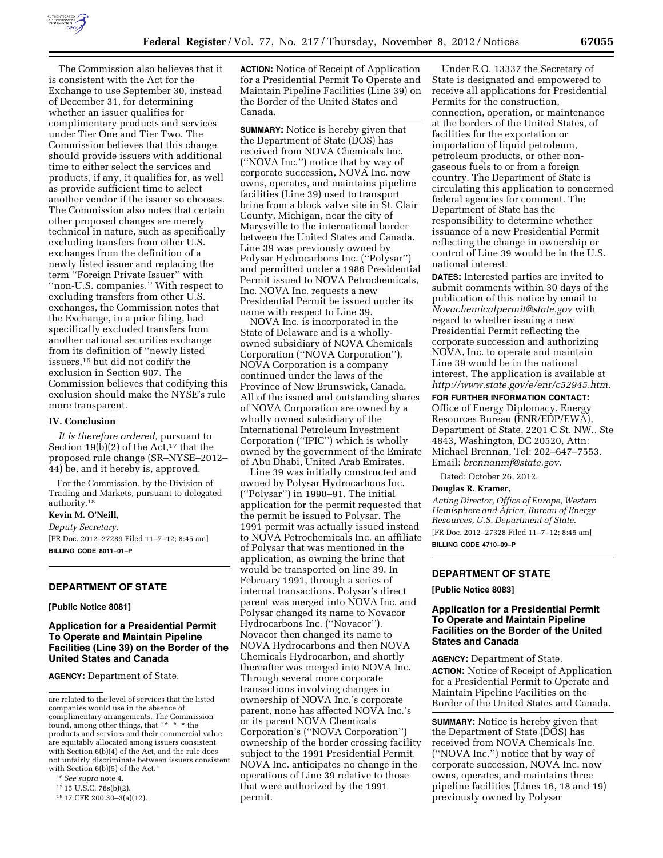

The Commission also believes that it is consistent with the Act for the Exchange to use September 30, instead of December 31, for determining whether an issuer qualifies for complimentary products and services under Tier One and Tier Two. The Commission believes that this change should provide issuers with additional time to either select the services and products, if any, it qualifies for, as well as provide sufficient time to select another vendor if the issuer so chooses. The Commission also notes that certain other proposed changes are merely technical in nature, such as specifically excluding transfers from other U.S. exchanges from the definition of a newly listed issuer and replacing the term ''Foreign Private Issuer'' with ''non-U.S. companies.'' With respect to excluding transfers from other U.S. exchanges, the Commission notes that the Exchange, in a prior filing, had specifically excluded transfers from another national securities exchange from its definition of ''newly listed issuers,16 but did not codify the exclusion in Section 907. The Commission believes that codifying this exclusion should make the NYSE's rule more transparent.

### **IV. Conclusion**

*It is therefore ordered,* pursuant to Section 19(b)(2) of the Act,<sup>17</sup> that the proposed rule change (SR–NYSE–2012– 44) be, and it hereby is, approved.

For the Commission, by the Division of Trading and Markets, pursuant to delegated authority.18

# **Kevin M. O'Neill,**

*Deputy Secretary.* 

[FR Doc. 2012–27289 Filed 11–7–12; 8:45 am] **BILLING CODE 8011–01–P** 

### **DEPARTMENT OF STATE**

## **[Public Notice 8081]**

## **Application for a Presidential Permit To Operate and Maintain Pipeline Facilities (Line 39) on the Border of the United States and Canada**

**AGENCY:** Department of State.

**ACTION:** Notice of Receipt of Application for a Presidential Permit To Operate and Maintain Pipeline Facilities (Line 39) on the Border of the United States and Canada.

**SUMMARY:** Notice is hereby given that the Department of State (DOS) has received from NOVA Chemicals Inc. (''NOVA Inc.'') notice that by way of corporate succession, NOVA Inc. now owns, operates, and maintains pipeline facilities (Line 39) used to transport brine from a block valve site in St. Clair County, Michigan, near the city of Marysville to the international border between the United States and Canada. Line 39 was previously owned by Polysar Hydrocarbons Inc. (''Polysar'') and permitted under a 1986 Presidential Permit issued to NOVA Petrochemicals, Inc. NOVA Inc. requests a new Presidential Permit be issued under its name with respect to Line 39.

NOVA Inc. is incorporated in the State of Delaware and is a whollyowned subsidiary of NOVA Chemicals Corporation (''NOVA Corporation''). NOVA Corporation is a company continued under the laws of the Province of New Brunswick, Canada. All of the issued and outstanding shares of NOVA Corporation are owned by a wholly owned subsidiary of the International Petroleum Investment Corporation (''IPIC'') which is wholly owned by the government of the Emirate of Abu Dhabi, United Arab Emirates.

Line 39 was initially constructed and owned by Polysar Hydrocarbons Inc. (''Polysar'') in 1990–91. The initial application for the permit requested that the permit be issued to Polysar. The 1991 permit was actually issued instead to NOVA Petrochemicals Inc. an affiliate of Polysar that was mentioned in the application, as owning the brine that would be transported on line 39. In February 1991, through a series of internal transactions, Polysar's direct parent was merged into NOVA Inc. and Polysar changed its name to Novacor Hydrocarbons Inc. (''Novacor''). Novacor then changed its name to NOVA Hydrocarbons and then NOVA Chemicals Hydrocarbon, and shortly thereafter was merged into NOVA Inc. Through several more corporate transactions involving changes in ownership of NOVA Inc.'s corporate parent, none has affected NOVA Inc.'s or its parent NOVA Chemicals Corporation's (''NOVA Corporation'') ownership of the border crossing facility subject to the 1991 Presidential Permit. NOVA Inc. anticipates no change in the operations of Line 39 relative to those that were authorized by the 1991 permit.

Under E.O. 13337 the Secretary of State is designated and empowered to receive all applications for Presidential Permits for the construction, connection, operation, or maintenance at the borders of the United States, of facilities for the exportation or importation of liquid petroleum, petroleum products, or other nongaseous fuels to or from a foreign country. The Department of State is circulating this application to concerned federal agencies for comment. The Department of State has the responsibility to determine whether issuance of a new Presidential Permit reflecting the change in ownership or control of Line 39 would be in the U.S. national interest.

**DATES:** Interested parties are invited to submit comments within 30 days of the publication of this notice by email to *[Novachemicalpermit@state.gov](mailto:Novachemicalpermit@state.gov)* with regard to whether issuing a new Presidential Permit reflecting the corporate succession and authorizing NOVA, Inc. to operate and maintain Line 39 would be in the national interest. The application is available at *[http://www.state.gov/e/enr/c52945.htm.](http://www.state.gov/e/enr/c52945.htm)* 

### **FOR FURTHER INFORMATION CONTACT:**

Office of Energy Diplomacy, Energy Resources Bureau (ENR/EDP/EWA), Department of State, 2201 C St. NW., Ste 4843, Washington, DC 20520, Attn: Michael Brennan, Tel: 202–647–7553. Email: *[brennanmf@state.gov.](mailto:brennanmf@state.gov)* 

Dated: October 26, 2012.

#### **Douglas R. Kramer,**

*Acting Director, Office of Europe, Western Hemisphere and Africa, Bureau of Energy Resources, U.S. Department of State.*  [FR Doc. 2012–27328 Filed 11–7–12; 8:45 am] **BILLING CODE 4710–09–P** 

### **DEPARTMENT OF STATE**

**[Public Notice 8083]** 

## **Application for a Presidential Permit To Operate and Maintain Pipeline Facilities on the Border of the United States and Canada**

**AGENCY:** Department of State. **ACTION:** Notice of Receipt of Application for a Presidential Permit to Operate and Maintain Pipeline Facilities on the Border of the United States and Canada.

**SUMMARY:** Notice is hereby given that the Department of State (DOS) has received from NOVA Chemicals Inc. (''NOVA Inc.'') notice that by way of corporate succession, NOVA Inc. now owns, operates, and maintains three pipeline facilities (Lines 16, 18 and 19) previously owned by Polysar

are related to the level of services that the listed companies would use in the absence of complimentary arrangements. The Commission found, among other things, that ''\* \* \* the products and services and their commercial value are equitably allocated among issuers consistent with Section 6(b)(4) of the Act, and the rule does not unfairly discriminate between issuers consistent with Section 6(b)(5) of the Act.''

<sup>16</sup>*See supra* note 4.

<sup>17</sup> 15 U.S.C. 78s(b)(2).

<sup>18</sup> 17 CFR 200.30–3(a)(12).